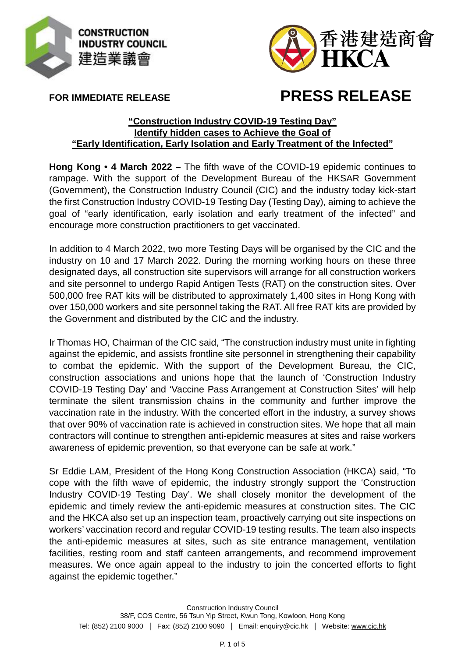



**FOR IMMEDIATE RELEASE**

## **PRESS RELEASE**

## **"Construction Industry COVID-19 Testing Day" Identify hidden cases to Achieve the Goal of "Early Identification, Early Isolation and Early Treatment of the Infected"**

**Hong Kong • 4 March 2022 –** The fifth wave of the COVID-19 epidemic continues to rampage. With the support of the Development Bureau of the HKSAR Government (Government), the Construction Industry Council (CIC) and the industry today kick-start the first Construction Industry COVID-19 Testing Day (Testing Day), aiming to achieve the goal of "early identification, early isolation and early treatment of the infected" and encourage more construction practitioners to get vaccinated.

In addition to 4 March 2022, two more Testing Days will be organised by the CIC and the industry on 10 and 17 March 2022. During the morning working hours on these three designated days, all construction site supervisors will arrange for all construction workers and site personnel to undergo Rapid Antigen Tests (RAT) on the construction sites. Over 500,000 free RAT kits will be distributed to approximately 1,400 sites in Hong Kong with over 150,000 workers and site personnel taking the RAT. All free RAT kits are provided by the Government and distributed by the CIC and the industry.

Ir Thomas HO, Chairman of the CIC said, "The construction industry must unite in fighting against the epidemic, and assists frontline site personnel in strengthening their capability to combat the epidemic. With the support of the Development Bureau, the CIC, construction associations and unions hope that the launch of 'Construction Industry COVID-19 Testing Day' and 'Vaccine Pass Arrangement at Construction Sites' will help terminate the silent transmission chains in the community and further improve the vaccination rate in the industry. With the concerted effort in the industry, a survey shows that over 90% of vaccination rate is achieved in construction sites. We hope that all main contractors will continue to strengthen anti-epidemic measures at sites and raise workers awareness of epidemic prevention, so that everyone can be safe at work."

Sr Eddie LAM, President of the Hong Kong Construction Association (HKCA) said, "To cope with the fifth wave of epidemic, the industry strongly support the 'Construction Industry COVID-19 Testing Day'. We shall closely monitor the development of the epidemic and timely review the anti-epidemic measures at construction sites. The CIC and the HKCA also set up an inspection team, proactively carrying out site inspections on workers' vaccination record and regular COVID-19 testing results. The team also inspects the anti-epidemic measures at sites, such as site entrance management, ventilation facilities, resting room and staff canteen arrangements, and recommend improvement measures. We once again appeal to the industry to join the concerted efforts to fight against the epidemic together."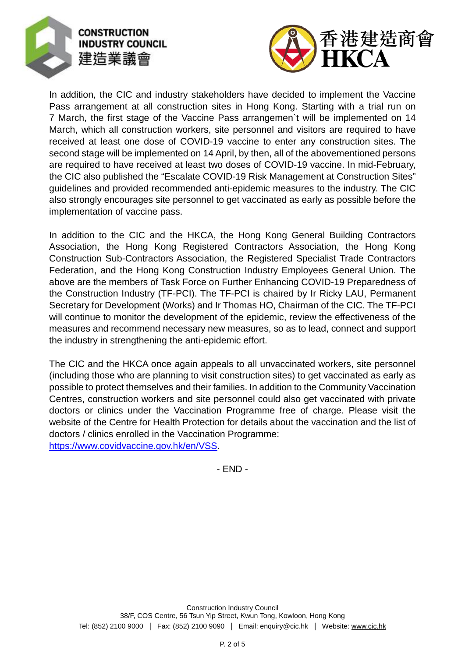



In addition, the CIC and industry stakeholders have decided to implement the Vaccine Pass arrangement at all construction sites in Hong Kong. Starting with a trial run on 7 March, the first stage of the Vaccine Pass arrangemen`t will be implemented on 14 March, which all construction workers, site personnel and visitors are required to have received at least one dose of COVID-19 vaccine to enter any construction sites. The second stage will be implemented on 14 April, by then, all of the abovementioned persons are required to have received at least two doses of COVID-19 vaccine. In mid-February, the CIC also published the "Escalate COVID-19 Risk Management at Construction Sites" guidelines and provided recommended anti-epidemic measures to the industry. The CIC also strongly encourages site personnel to get vaccinated as early as possible before the implementation of vaccine pass.

In addition to the CIC and the HKCA, the Hong Kong General Building Contractors Association, the Hong Kong Registered Contractors Association, the Hong Kong Construction Sub-Contractors Association, the Registered Specialist Trade Contractors Federation, and the Hong Kong Construction Industry Employees General Union. The above are the members of Task Force on Further Enhancing COVID-19 Preparedness of the Construction Industry (TF-PCI). The TF-PCI is chaired by Ir Ricky LAU, Permanent Secretary for Development (Works) and Ir Thomas HO, Chairman of the CIC. The TF-PCI will continue to monitor the development of the epidemic, review the effectiveness of the measures and recommend necessary new measures, so as to lead, connect and support the industry in strengthening the anti-epidemic effort.

The CIC and the HKCA once again appeals to all unvaccinated workers, site personnel (including those who are planning to visit construction sites) to get vaccinated as early as possible to protect themselves and their families. In addition to the Community Vaccination Centres, construction workers and site personnel could also get vaccinated with private doctors or clinics under the Vaccination Programme free of charge. Please visit the website of the Centre for Health Protection for details about the vaccination and the list of doctors / clinics enrolled in the Vaccination Programme: [https://www.covidvaccine.gov.hk/en/VSS.](https://www.covidvaccine.gov.hk/en/VSS)

- END -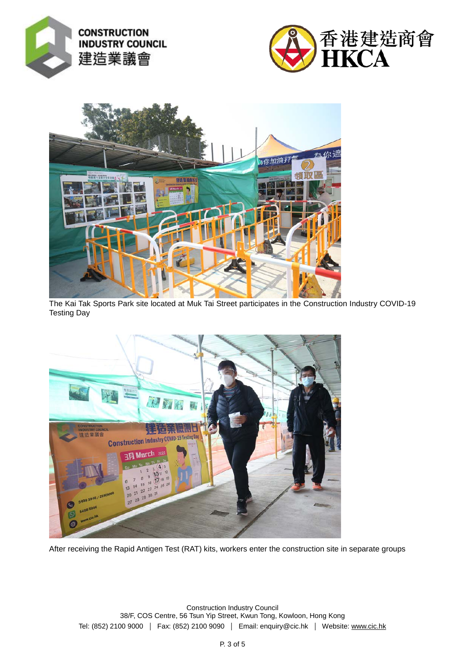





The Kai Tak Sports Park site located at Muk Tai Street participates in the Construction Industry COVID-19 Testing Day



After receiving the Rapid Antigen Test (RAT) kits, workers enter the construction site in separate groups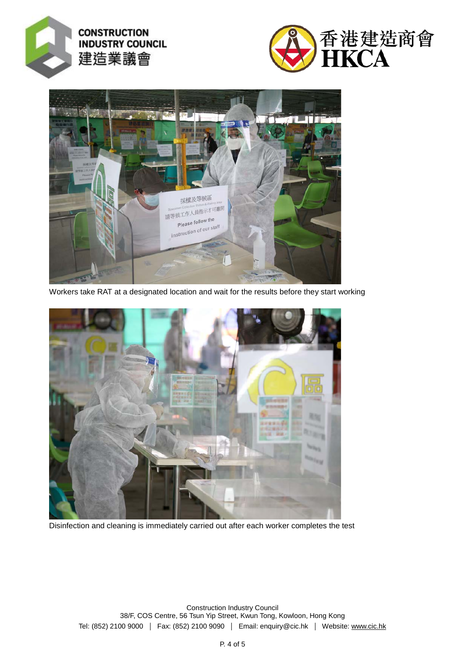





Workers take RAT at a designated location and wait for the results before they start working



Disinfection and cleaning is immediately carried out after each worker completes the test